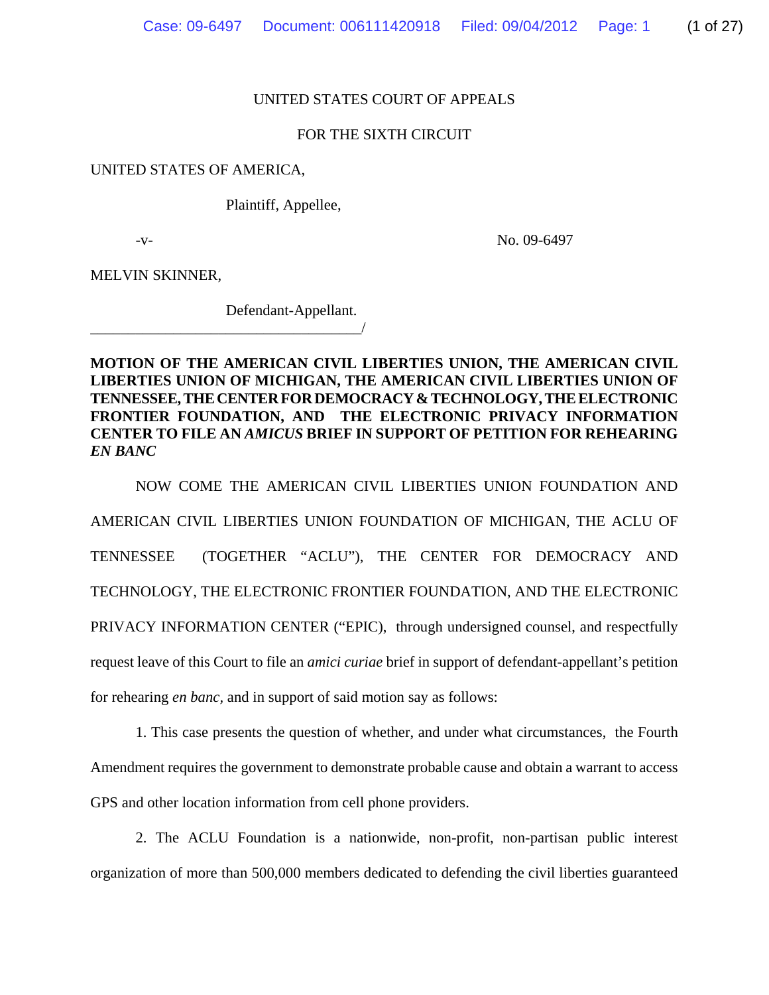### UNITED STATES COURT OF APPEALS

#### FOR THE SIXTH CIRCUIT

#### UNITED STATES OF AMERICA,

Plaintiff, Appellee,

-v- No. 09-6497

MELVIN SKINNER,

Defendant-Appellant.

\_\_\_\_\_\_\_\_\_\_\_\_\_\_\_\_\_\_\_\_\_\_\_\_\_\_\_\_\_\_\_\_\_\_\_\_/

**MOTION OF THE AMERICAN CIVIL LIBERTIES UNION, THE AMERICAN CIVIL LIBERTIES UNION OF MICHIGAN, THE AMERICAN CIVIL LIBERTIES UNION OF TENNESSEE, THE CENTER FOR DEMOCRACY & TECHNOLOGY, THE ELECTRONIC FRONTIER FOUNDATION, AND THE ELECTRONIC PRIVACY INFORMATION CENTER TO FILE AN** *AMICUS* **BRIEF IN SUPPORT OF PETITION FOR REHEARING** *EN BANC*

NOW COME THE AMERICAN CIVIL LIBERTIES UNION FOUNDATION AND AMERICAN CIVIL LIBERTIES UNION FOUNDATION OF MICHIGAN, THE ACLU OF TENNESSEE (TOGETHER "ACLU"), THE CENTER FOR DEMOCRACY AND TECHNOLOGY, THE ELECTRONIC FRONTIER FOUNDATION, AND THE ELECTRONIC PRIVACY INFORMATION CENTER ("EPIC), through undersigned counsel, and respectfully request leave of this Court to file an *amici curiae* brief in support of defendant-appellant's petition for rehearing *en banc,* and in support of said motion say as follows:

1. This case presents the question of whether, and under what circumstances, the Fourth Amendment requires the government to demonstrate probable cause and obtain a warrant to access GPS and other location information from cell phone providers.

2. The ACLU Foundation is a nationwide, non-profit, non-partisan public interest organization of more than 500,000 members dedicated to defending the civil liberties guaranteed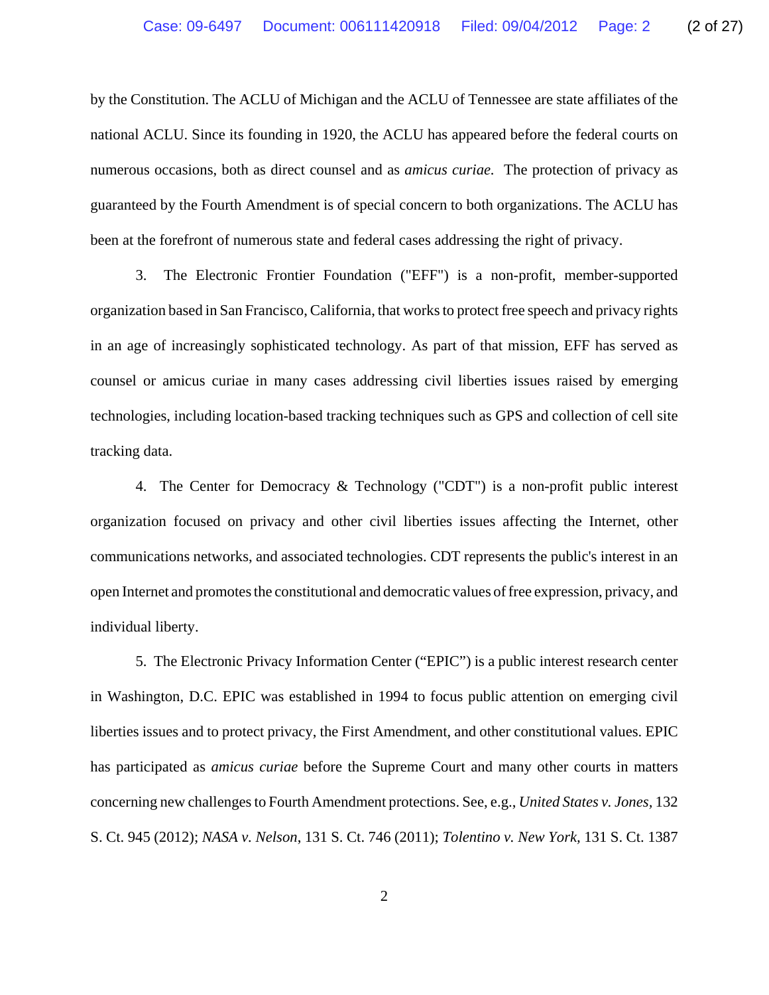by the Constitution. The ACLU of Michigan and the ACLU of Tennessee are state affiliates of the national ACLU. Since its founding in 1920, the ACLU has appeared before the federal courts on numerous occasions, both as direct counsel and as *amicus curiae.* The protection of privacy as guaranteed by the Fourth Amendment is of special concern to both organizations. The ACLU has been at the forefront of numerous state and federal cases addressing the right of privacy.

3. The Electronic Frontier Foundation ("EFF") is a non-profit, member-supported organization based in San Francisco, California, that works to protect free speech and privacy rights in an age of increasingly sophisticated technology. As part of that mission, EFF has served as counsel or amicus curiae in many cases addressing civil liberties issues raised by emerging technologies, including location-based tracking techniques such as GPS and collection of cell site tracking data.

4. The Center for Democracy & Technology ("CDT") is a non-profit public interest organization focused on privacy and other civil liberties issues affecting the Internet, other communications networks, and associated technologies. CDT represents the public's interest in an open Internet and promotes the constitutional and democratic values of free expression, privacy, and individual liberty.

5. The Electronic Privacy Information Center ("EPIC") is a public interest research center in Washington, D.C. EPIC was established in 1994 to focus public attention on emerging civil liberties issues and to protect privacy, the First Amendment, and other constitutional values. EPIC has participated as *amicus curiae* before the Supreme Court and many other courts in matters concerning new challenges to Fourth Amendment protections. See, e.g., *United States v. Jones,* 132 S. Ct. 945 (2012); *NASA v. Nelson*, 131 S. Ct. 746 (2011); *Tolentino v. New York,* 131 S. Ct. 1387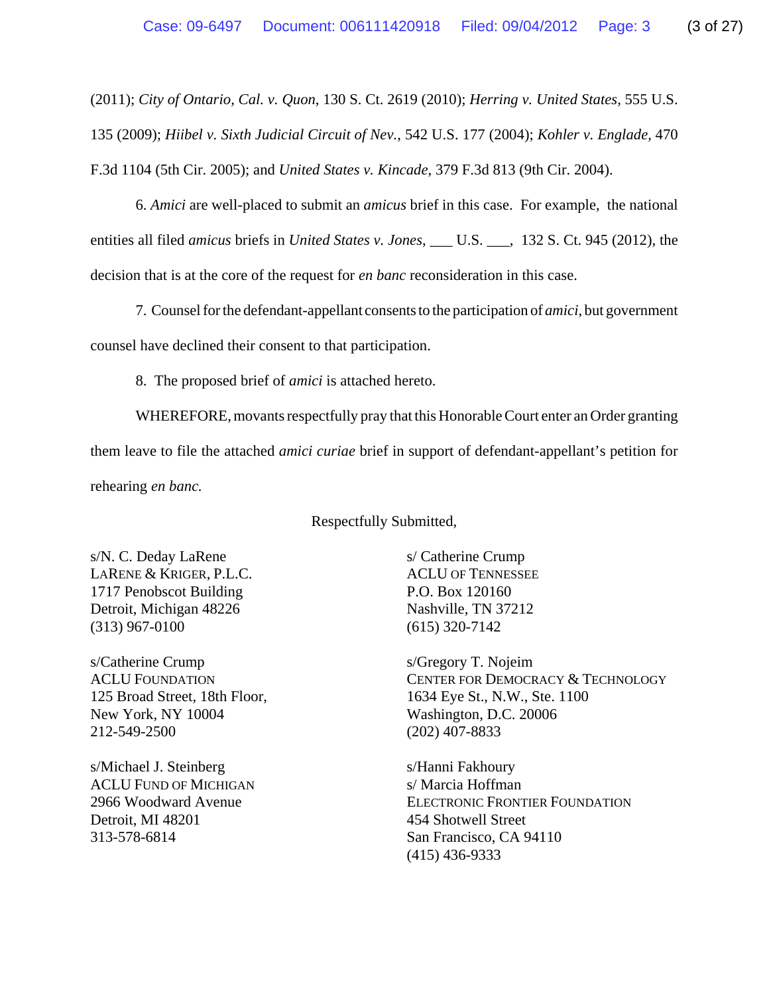(2011); *City of Ontario, Cal. v. Quon*, 130 S. Ct. 2619 (2010); *Herring v. United States,* 555 U.S.

135 (2009); *Hiibel v. Sixth Judicial Circuit of Nev.*, 542 U.S. 177 (2004); *Kohler v. Englade,* 470 F.3d 1104 (5th Cir. 2005); and *United States v. Kincade*, 379 F.3d 813 (9th Cir. 2004).

6. *Amici* are well-placed to submit an *amicus* brief in this case. For example, the national entities all filed *amicus* briefs in *United States v. Jones*, \_\_\_ U.S. \_\_\_, 132 S. Ct. 945 (2012), the decision that is at the core of the request for *en banc* reconsideration in this case.

7. Counsel for the defendant-appellant consents to the participation of *amici*, but government counsel have declined their consent to that participation.

8. The proposed brief of *amici* is attached hereto.

WHEREFORE, movants respectfully pray that this Honorable Court enter an Order granting them leave to file the attached *amici curiae* brief in support of defendant-appellant's petition for rehearing *en banc.*

Respectfully Submitted,

s/N. C. Deday LaRene LARENE & KRIGER, P.L.C. 1717 Penobscot Building Detroit, Michigan 48226 (313) 967-0100

s/Catherine Crump ACLU FOUNDATION 125 Broad Street, 18th Floor, New York, NY 10004 212-549-2500

s/Michael J. Steinberg ACLU FUND OF MICHIGAN 2966 Woodward Avenue Detroit, MI 48201 313-578-6814

s/ Catherine Crump ACLU OF TENNESSEE P.O. Box 120160 Nashville, TN 37212 (615) 320-7142

s/Gregory T. Nojeim CENTER FOR DEMOCRACY & TECHNOLOGY 1634 Eye St., N.W., Ste. 1100 Washington, D.C. 20006 (202) 407-8833

s/Hanni Fakhoury s/ Marcia Hoffman ELECTRONIC FRONTIER FOUNDATION 454 Shotwell Street San Francisco, CA 94110 (415) 436-9333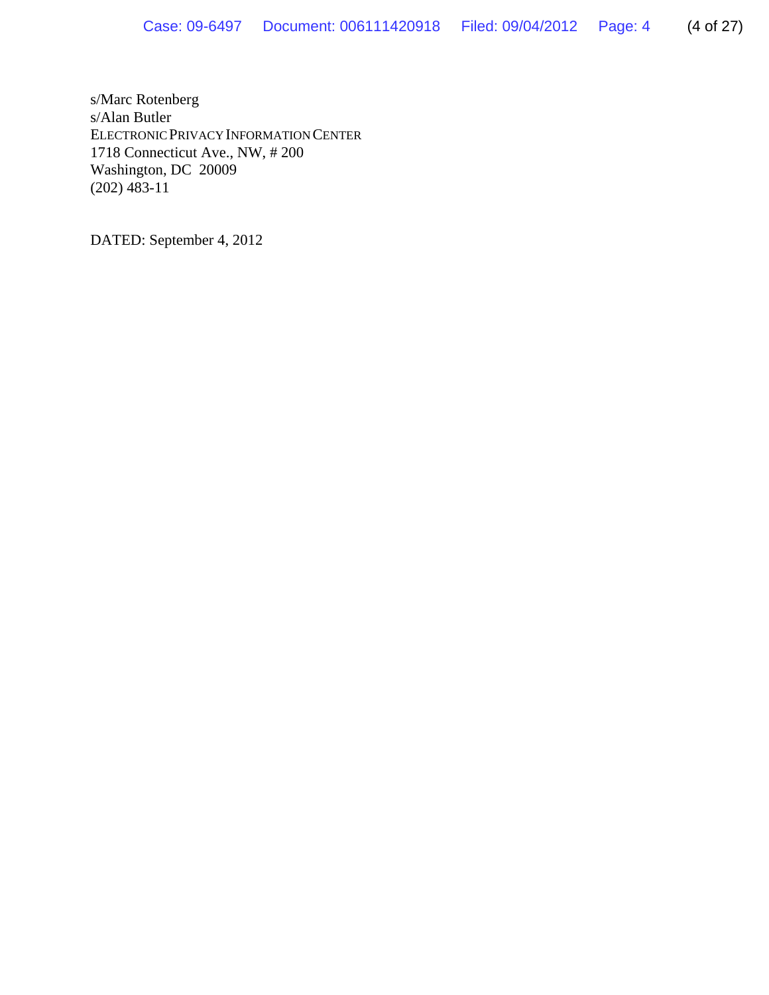s/Marc Rotenberg s/Alan Butler ELECTRONIC PRIVACY INFORMATION CENTER 1718 Connecticut Ave., NW, # 200 Washington, DC 20009 (202) 483-11

DATED: September 4, 2012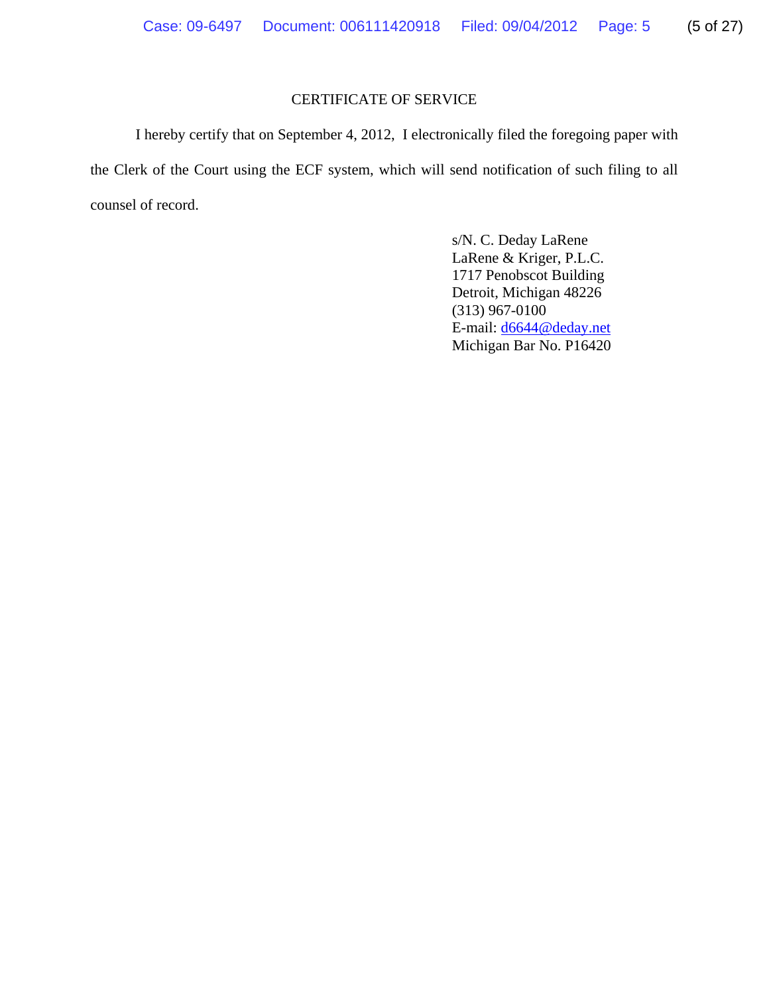## CERTIFICATE OF SERVICE

I hereby certify that on September 4, 2012, I electronically filed the foregoing paper with the Clerk of the Court using the ECF system, which will send notification of such filing to all counsel of record.

> s/N. C. Deday LaRene LaRene & Kriger, P.L.C. 1717 Penobscot Building Detroit, Michigan 48226 (313) 967-0100 E-mail: d6644@deday.net Michigan Bar No. P16420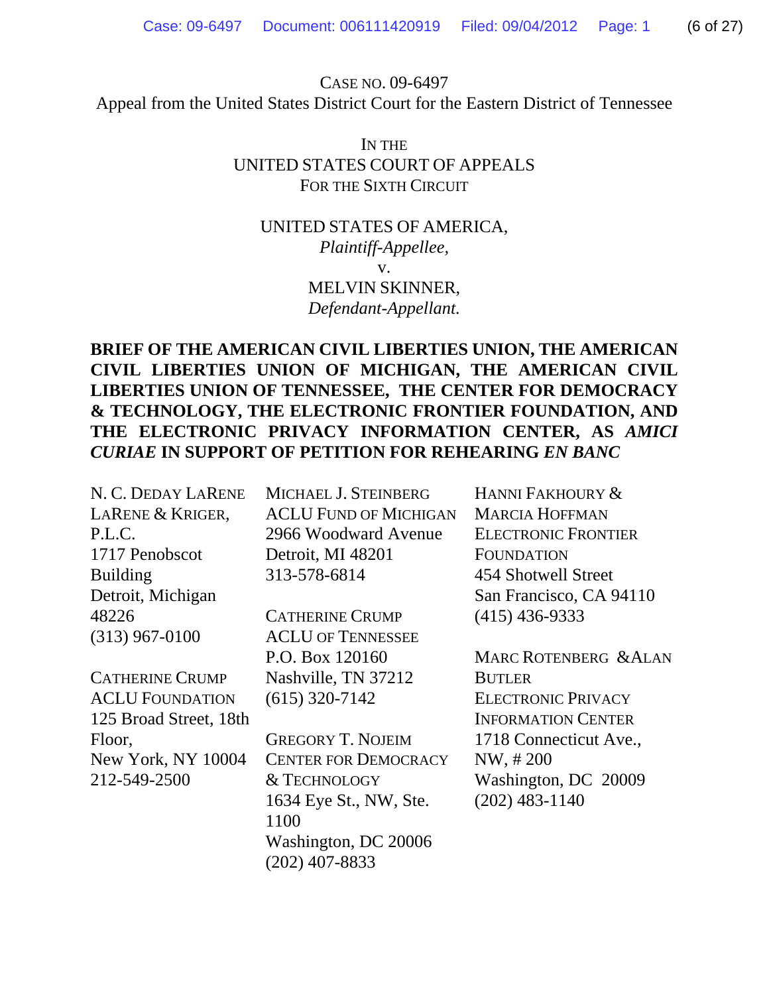CASE NO. 09-6497 Appeal from the United States District Court for the Eastern District of Tennessee

## IN THE UNITED STATES COURT OF APPEALS FOR THE SIXTH CIRCUIT

## UNITED STATES OF AMERICA, *Plaintiff-Appellee,* v. MELVIN SKINNER, *Defendant-Appellant.*

# **BRIEF OF THE AMERICAN CIVIL LIBERTIES UNION, THE AMERICAN CIVIL LIBERTIES UNION OF MICHIGAN, THE AMERICAN CIVIL LIBERTIES UNION OF TENNESSEE, THE CENTER FOR DEMOCRACY & TECHNOLOGY, THE ELECTRONIC FRONTIER FOUNDATION, AND THE ELECTRONIC PRIVACY INFORMATION CENTER, AS** *AMICI CURIAE* **IN SUPPORT OF PETITION FOR REHEARING** *EN BANC*

| N. C. DEDAY LARENE     | MICHAEL J. STEINBERG         | HANNI FAKHOURY &           |
|------------------------|------------------------------|----------------------------|
| LARENE & KRIGER,       | <b>ACLU FUND OF MICHIGAN</b> | <b>MARCIA HOFFMAN</b>      |
| P.L.C.                 | 2966 Woodward Avenue         | <b>ELECTRONIC FRONTIER</b> |
| 1717 Penobscot         | Detroit, MI 48201            | <b>FOUNDATION</b>          |
| <b>Building</b>        | 313-578-6814                 | 454 Shotwell Street        |
| Detroit, Michigan      |                              | San Francisco, CA 94110    |
| 48226                  | <b>CATHERINE CRUMP</b>       | $(415)$ 436-9333           |
| $(313)$ 967-0100       | <b>ACLU OF TENNESSEE</b>     |                            |
|                        | P.O. Box 120160              | MARC ROTENBERG & ALAN      |
| <b>CATHERINE CRUMP</b> | Nashville, TN 37212          | <b>BUTLER</b>              |
| <b>ACLU FOUNDATION</b> | $(615)$ 320-7142             | <b>ELECTRONIC PRIVACY</b>  |
| 125 Broad Street, 18th |                              | <b>INFORMATION CENTER</b>  |
| Floor,                 | <b>GREGORY T. NOJEIM</b>     | 1718 Connecticut Ave.,     |
| New York, NY 10004     | <b>CENTER FOR DEMOCRACY</b>  | NW, #200                   |
| 212-549-2500           | & TECHNOLOGY                 | Washington, DC 20009       |
|                        | 1634 Eye St., NW, Ste.       | $(202)$ 483-1140           |
|                        | 1100                         |                            |
|                        | Washington, DC 20006         |                            |
|                        | $(202)$ 407-8833             |                            |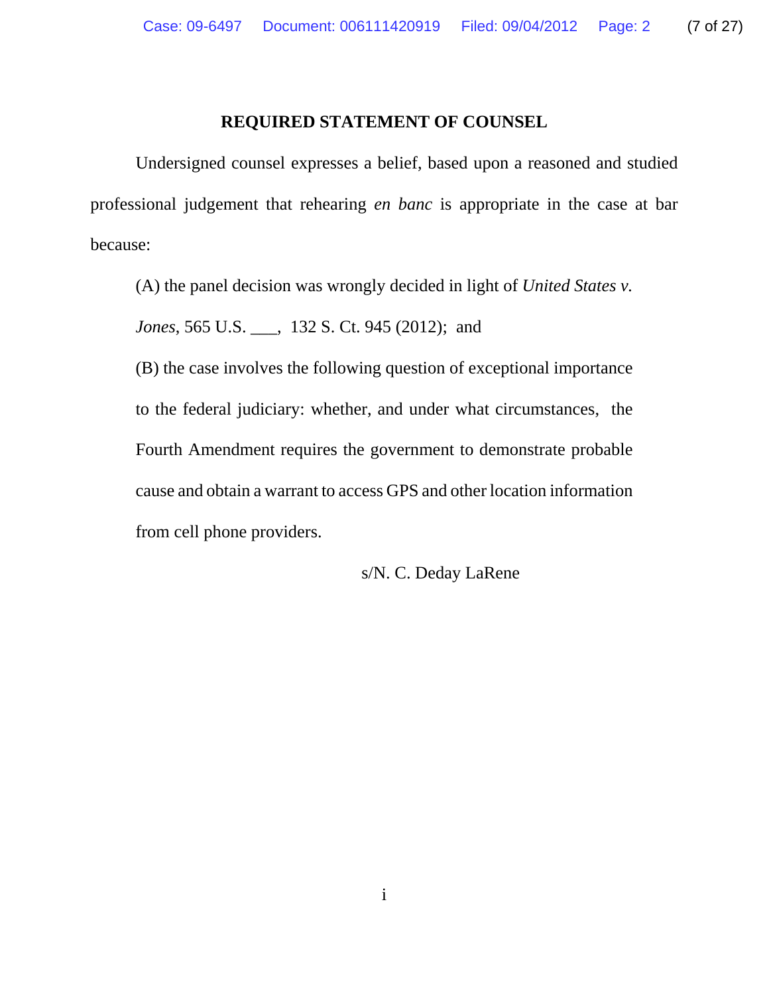### **REQUIRED STATEMENT OF COUNSEL**

Undersigned counsel expresses a belief, based upon a reasoned and studied professional judgement that rehearing *en banc* is appropriate in the case at bar because:

(A) the panel decision was wrongly decided in light of *United States v.*

*Jones*, 565 U.S. \_\_\_, 132 S. Ct. 945 (2012); and

(B) the case involves the following question of exceptional importance to the federal judiciary: whether, and under what circumstances, the Fourth Amendment requires the government to demonstrate probable cause and obtain a warrant to access GPS and other location information from cell phone providers.

s/N. C. Deday LaRene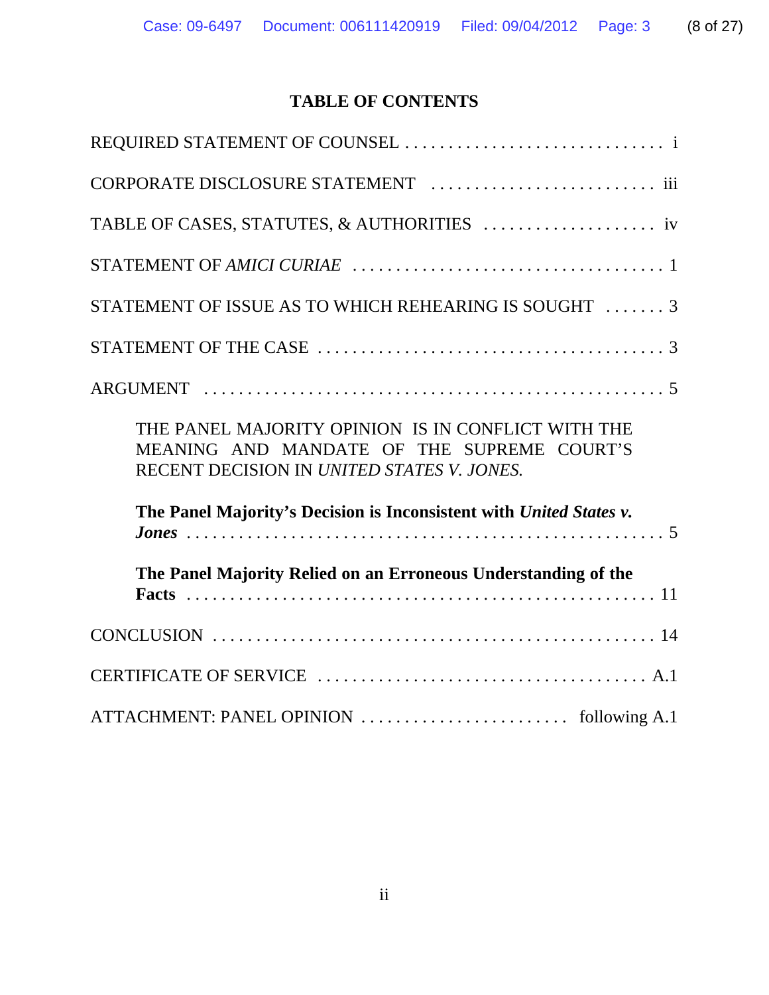# **TABLE OF CONTENTS**

| STATEMENT OF ISSUE AS TO WHICH REHEARING IS SOUGHT  3                                                                                          |
|------------------------------------------------------------------------------------------------------------------------------------------------|
|                                                                                                                                                |
|                                                                                                                                                |
| THE PANEL MAJORITY OPINION IS IN CONFLICT WITH THE<br>MEANING AND MANDATE OF THE SUPREME COURT'S<br>RECENT DECISION IN UNITED STATES V. JONES. |
| The Panel Majority's Decision is Inconsistent with United States v.                                                                            |
| The Panel Majority Relied on an Erroneous Understanding of the                                                                                 |
|                                                                                                                                                |
|                                                                                                                                                |
|                                                                                                                                                |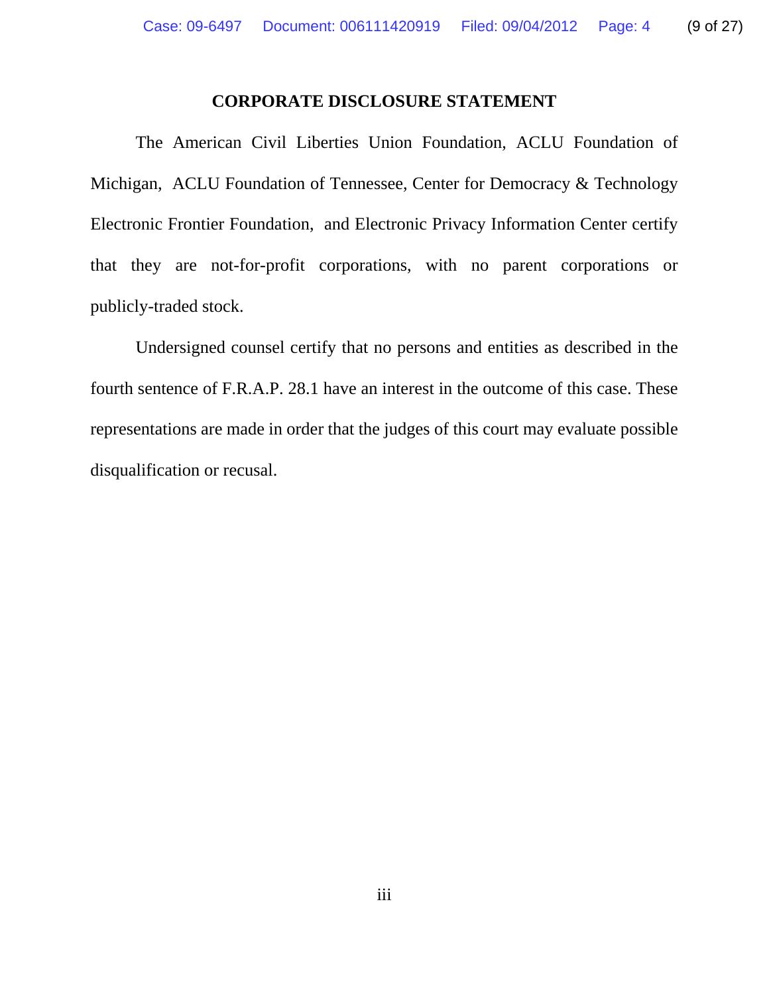### **CORPORATE DISCLOSURE STATEMENT**

The American Civil Liberties Union Foundation, ACLU Foundation of Michigan, ACLU Foundation of Tennessee, Center for Democracy & Technology Electronic Frontier Foundation, and Electronic Privacy Information Center certify that they are not-for-profit corporations, with no parent corporations or publicly-traded stock.

Undersigned counsel certify that no persons and entities as described in the fourth sentence of F.R.A.P. 28.1 have an interest in the outcome of this case. These representations are made in order that the judges of this court may evaluate possible disqualification or recusal.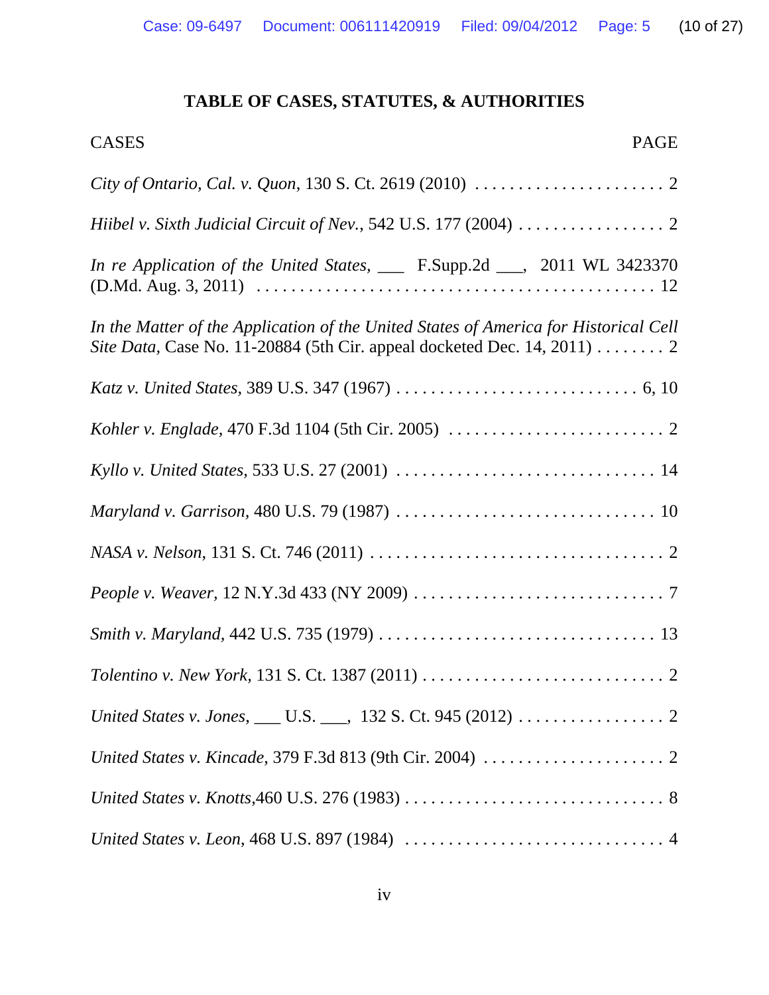# **TABLE OF CASES, STATUTES, & AUTHORITIES**

| <b>PAGE</b><br><b>CASES</b>                                                                                                                                                   |
|-------------------------------------------------------------------------------------------------------------------------------------------------------------------------------|
|                                                                                                                                                                               |
|                                                                                                                                                                               |
| In re Application of the United States, ___ F.Supp.2d ___, 2011 WL 3423370                                                                                                    |
| In the Matter of the Application of the United States of America for Historical Cell<br>Site Data, Case No. 11-20884 (5th Cir. appeal docketed Dec. 14, 2011) $\dots \dots 2$ |
|                                                                                                                                                                               |
|                                                                                                                                                                               |
|                                                                                                                                                                               |
|                                                                                                                                                                               |
|                                                                                                                                                                               |
|                                                                                                                                                                               |
|                                                                                                                                                                               |
|                                                                                                                                                                               |
| United States v. Jones, ___ U.S. ___, 132 S. Ct. 945 (2012) 2                                                                                                                 |
|                                                                                                                                                                               |
| United States v. Knotts, 460 U.S. 276 (1983) $\ldots \ldots \ldots \ldots \ldots \ldots \ldots \ldots \ldots \ldots$                                                          |
|                                                                                                                                                                               |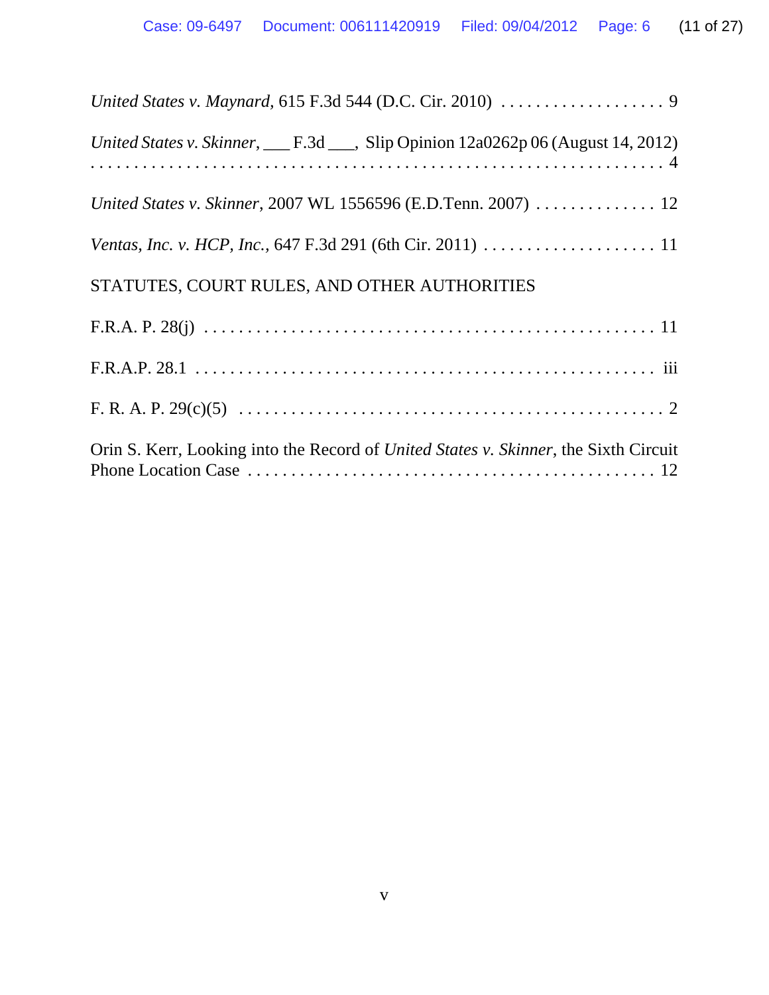| United States v. Skinner, ___ F.3d ___, Slip Opinion 12a0262p 06 (August 14, 2012)           |
|----------------------------------------------------------------------------------------------|
|                                                                                              |
|                                                                                              |
| STATUTES, COURT RULES, AND OTHER AUTHORITIES                                                 |
|                                                                                              |
|                                                                                              |
|                                                                                              |
| Orin S. Kerr, Looking into the Record of <i>United States v. Skinner</i> , the Sixth Circuit |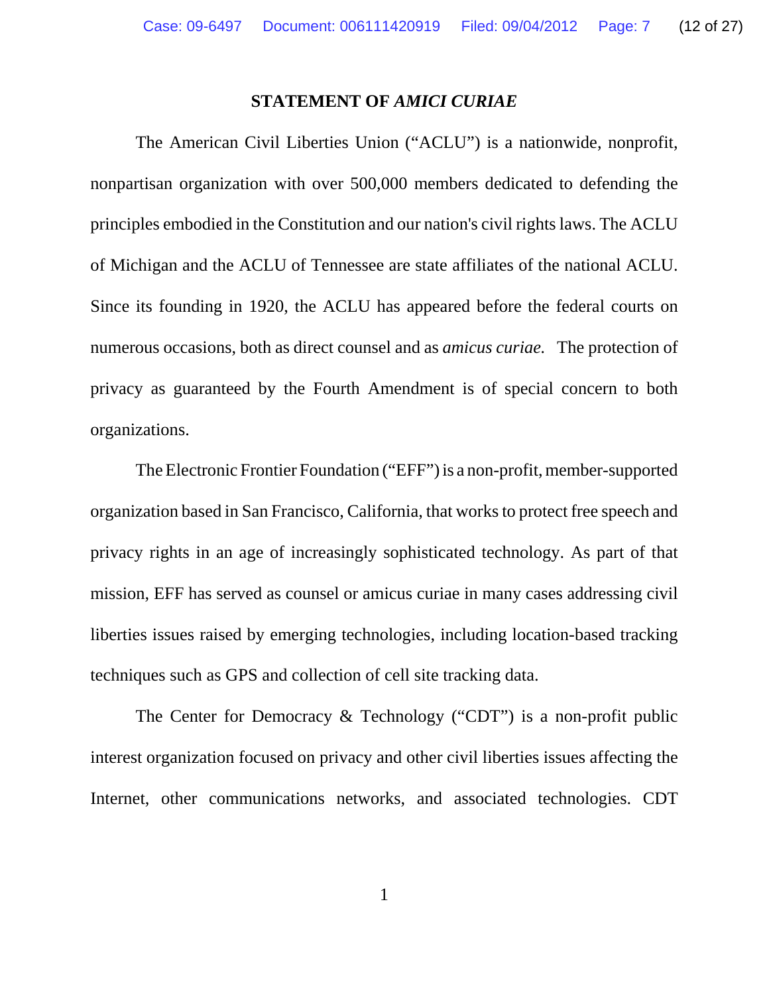### **STATEMENT OF** *AMICI CURIAE*

The American Civil Liberties Union ("ACLU") is a nationwide, nonprofit, nonpartisan organization with over 500,000 members dedicated to defending the principles embodied in the Constitution and our nation's civil rights laws. The ACLU of Michigan and the ACLU of Tennessee are state affiliates of the national ACLU. Since its founding in 1920, the ACLU has appeared before the federal courts on numerous occasions, both as direct counsel and as *amicus curiae.* The protection of privacy as guaranteed by the Fourth Amendment is of special concern to both organizations.

The Electronic Frontier Foundation ("EFF") is a non-profit, member-supported organization based in San Francisco, California, that works to protect free speech and privacy rights in an age of increasingly sophisticated technology. As part of that mission, EFF has served as counsel or amicus curiae in many cases addressing civil liberties issues raised by emerging technologies, including location-based tracking techniques such as GPS and collection of cell site tracking data.

The Center for Democracy & Technology ("CDT") is a non-profit public interest organization focused on privacy and other civil liberties issues affecting the Internet, other communications networks, and associated technologies. CDT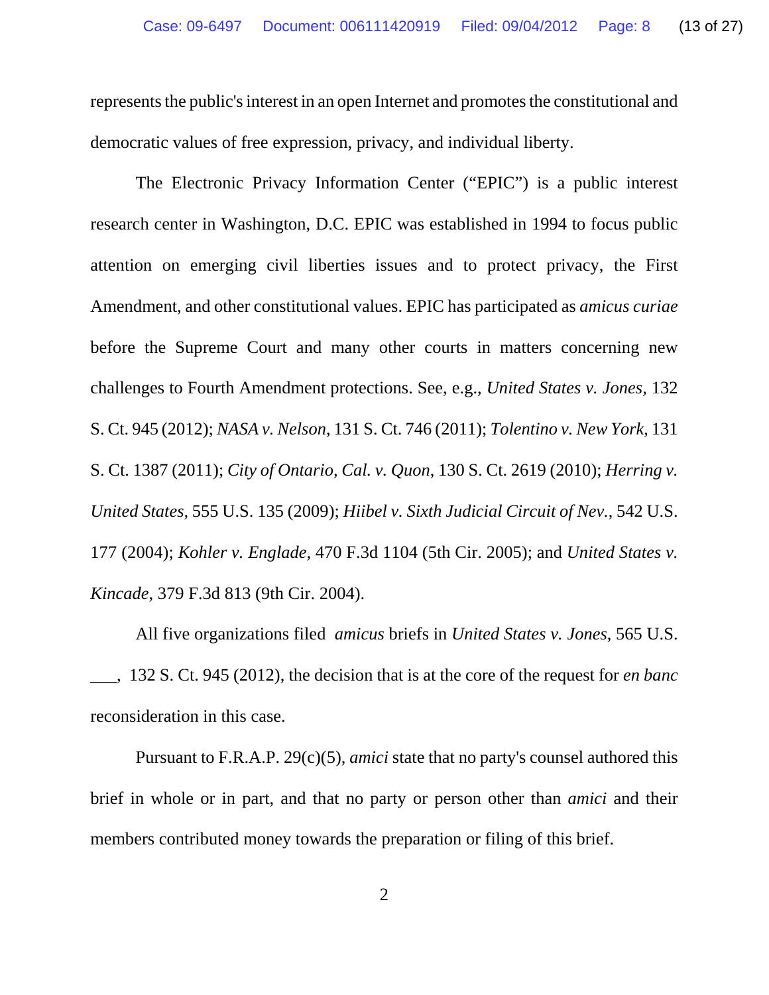represents the public's interest in an open Internet and promotes the constitutional and democratic values of free expression, privacy, and individual liberty.

The Electronic Privacy Information Center ("EPIC") is a public interest research center in Washington, D.C. EPIC was established in 1994 to focus public attention on emerging civil liberties issues and to protect privacy, the First Amendment, and other constitutional values. EPIC has participated as *amicus curiae* before the Supreme Court and many other courts in matters concerning new challenges to Fourth Amendment protections. See, e.g., *United States v. Jones,* 132 S. Ct. 945 (2012); *NASA v. Nelson*, 131 S. Ct. 746 (2011); *Tolentino v. New York,* 131 S. Ct. 1387 (2011); *City of Ontario, Cal. v. Quon*, 130 S. Ct. 2619 (2010); *Herring v. United States,* 555 U.S. 135 (2009); *Hiibel v. Sixth Judicial Circuit of Nev.*, 542 U.S. 177 (2004); *Kohler v. Englade,* 470 F.3d 1104 (5th Cir. 2005); and *United States v. Kincade*, 379 F.3d 813 (9th Cir. 2004).

All five organizations filed *amicus* briefs in *United States v. Jones*, 565 U.S. \_\_\_, 132 S. Ct. 945 (2012), the decision that is at the core of the request for *en banc* reconsideration in this case.

Pursuant to F.R.A.P. 29(c)(5), *amici* state that no party's counsel authored this brief in whole or in part, and that no party or person other than *amici* and their members contributed money towards the preparation or filing of this brief.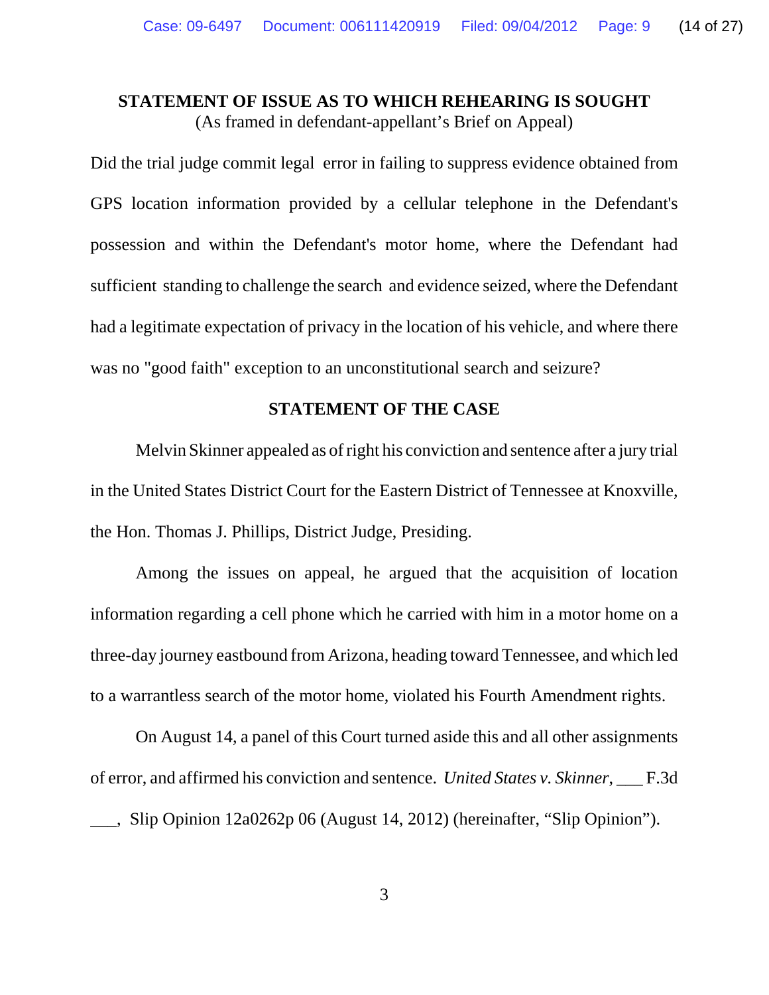## **STATEMENT OF ISSUE AS TO WHICH REHEARING IS SOUGHT** (As framed in defendant-appellant's Brief on Appeal)

Did the trial judge commit legal error in failing to suppress evidence obtained from GPS location information provided by a cellular telephone in the Defendant's possession and within the Defendant's motor home, where the Defendant had sufficient standing to challenge the search and evidence seized, where the Defendant had a legitimate expectation of privacy in the location of his vehicle, and where there was no "good faith" exception to an unconstitutional search and seizure?

### **STATEMENT OF THE CASE**

Melvin Skinner appealed as of right his conviction and sentence after a jury trial in the United States District Court for the Eastern District of Tennessee at Knoxville, the Hon. Thomas J. Phillips, District Judge, Presiding.

Among the issues on appeal, he argued that the acquisition of location information regarding a cell phone which he carried with him in a motor home on a three-day journey eastbound from Arizona, heading toward Tennessee, and which led to a warrantless search of the motor home, violated his Fourth Amendment rights.

On August 14, a panel of this Court turned aside this and all other assignments of error, and affirmed his conviction and sentence. *United States v. Skinner*, \_\_\_ F.3d \_\_\_, Slip Opinion 12a0262p 06 (August 14, 2012) (hereinafter, "Slip Opinion").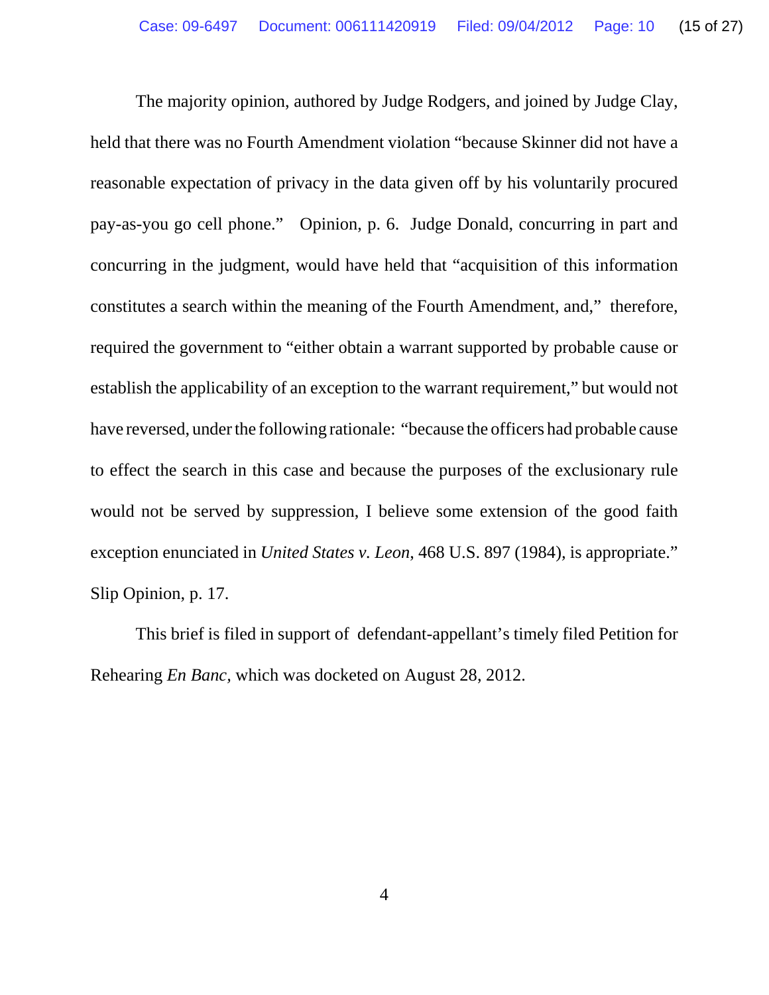The majority opinion, authored by Judge Rodgers, and joined by Judge Clay, held that there was no Fourth Amendment violation "because Skinner did not have a reasonable expectation of privacy in the data given off by his voluntarily procured pay-as-you go cell phone." Opinion, p. 6. Judge Donald, concurring in part and concurring in the judgment, would have held that "acquisition of this information constitutes a search within the meaning of the Fourth Amendment, and," therefore, required the government to "either obtain a warrant supported by probable cause or establish the applicability of an exception to the warrant requirement," but would not have reversed, under the following rationale: "because the officers had probable cause to effect the search in this case and because the purposes of the exclusionary rule would not be served by suppression, I believe some extension of the good faith exception enunciated in *United States v. Leon*, 468 U.S. 897 (1984)*,* is appropriate." Slip Opinion, p. 17.

This brief is filed in support of defendant-appellant's timely filed Petition for Rehearing *En Banc,* which was docketed on August 28, 2012.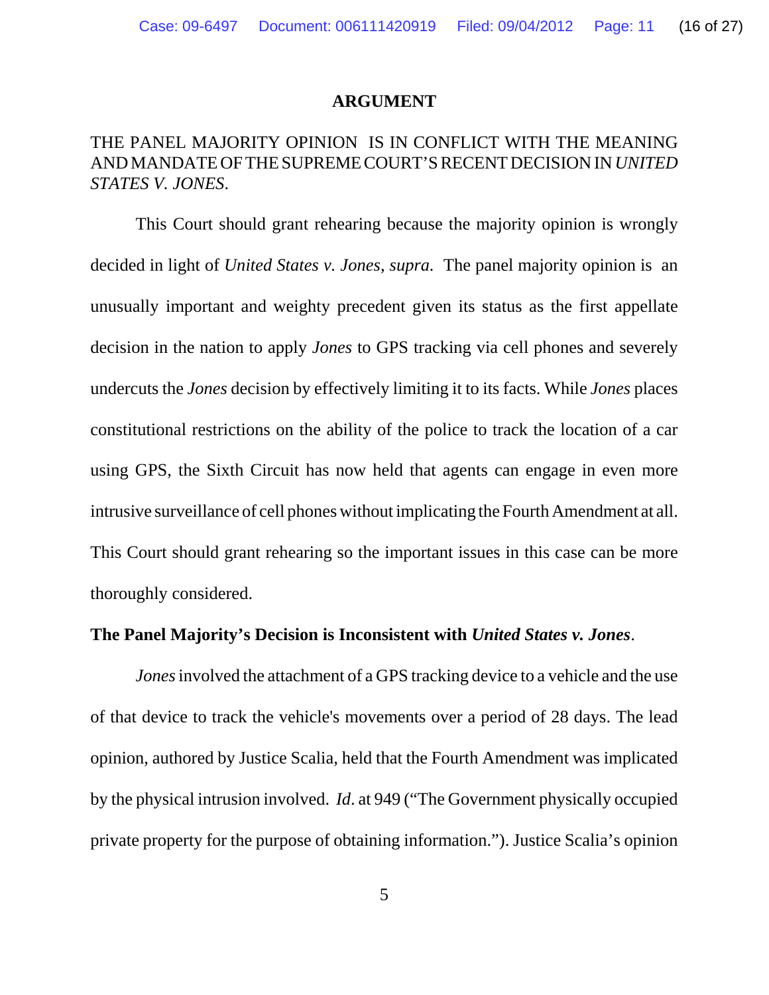### **ARGUMENT**

# THE PANEL MAJORITY OPINION IS IN CONFLICT WITH THE MEANING AND MANDATE OF THE SUPREME COURT'S RECENT DECISION IN *UNITED STATES V. JONES*.

This Court should grant rehearing because the majority opinion is wrongly decided in light of *United States v. Jones, supra.* The panel majority opinion is an unusually important and weighty precedent given its status as the first appellate decision in the nation to apply *Jones* to GPS tracking via cell phones and severely undercuts the *Jones* decision by effectively limiting it to its facts. While *Jones* places constitutional restrictions on the ability of the police to track the location of a car using GPS, the Sixth Circuit has now held that agents can engage in even more intrusive surveillance of cell phones without implicating the Fourth Amendment at all. This Court should grant rehearing so the important issues in this case can be more thoroughly considered.

### **The Panel Majority's Decision is Inconsistent with** *United States v. Jones*.

*Jones* involved the attachment of a GPS tracking device to a vehicle and the use of that device to track the vehicle's movements over a period of 28 days. The lead opinion, authored by Justice Scalia, held that the Fourth Amendment was implicated by the physical intrusion involved. *Id*. at 949 ("The Government physically occupied private property for the purpose of obtaining information."). Justice Scalia's opinion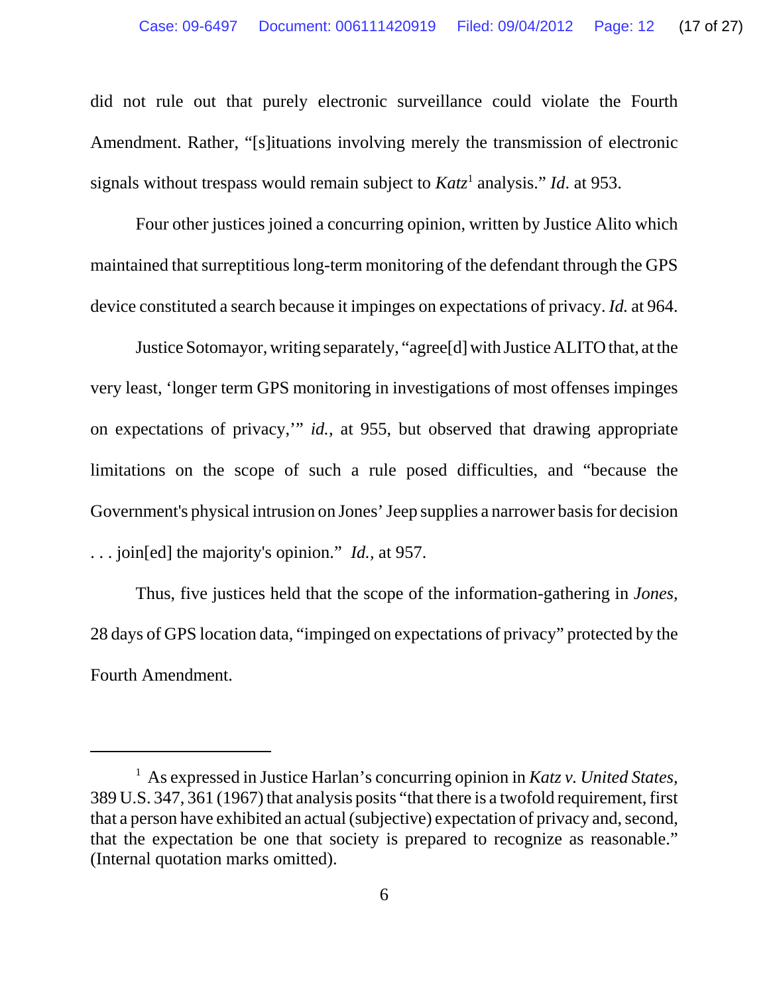did not rule out that purely electronic surveillance could violate the Fourth Amendment. Rather, "[s]ituations involving merely the transmission of electronic signals without trespass would remain subject to *Katz*<sup>1</sup> analysis." *Id.* at 953.

Four other justices joined a concurring opinion, written by Justice Alito which maintained that surreptitious long-term monitoring of the defendant through the GPS device constituted a search because it impinges on expectations of privacy. *Id.* at 964.

Justice Sotomayor, writing separately, "agree[d] with Justice ALITO that, at the very least, 'longer term GPS monitoring in investigations of most offenses impinges on expectations of privacy,'" *id.,* at 955, but observed that drawing appropriate limitations on the scope of such a rule posed difficulties, and "because the Government's physical intrusion on Jones' Jeep supplies a narrower basis for decision . . . join[ed] the majority's opinion." *Id.,* at 957.

Thus, five justices held that the scope of the information-gathering in *Jones,* 28 days of GPS location data, "impinged on expectations of privacy" protected by the Fourth Amendment.

<sup>&</sup>lt;sup>1</sup> As expressed in Justice Harlan's concurring opinion in *Katz v. United States*, 389 U.S. 347, 361 (1967) that analysis posits "that there is a twofold requirement, first that a person have exhibited an actual (subjective) expectation of privacy and, second, that the expectation be one that society is prepared to recognize as reasonable." (Internal quotation marks omitted).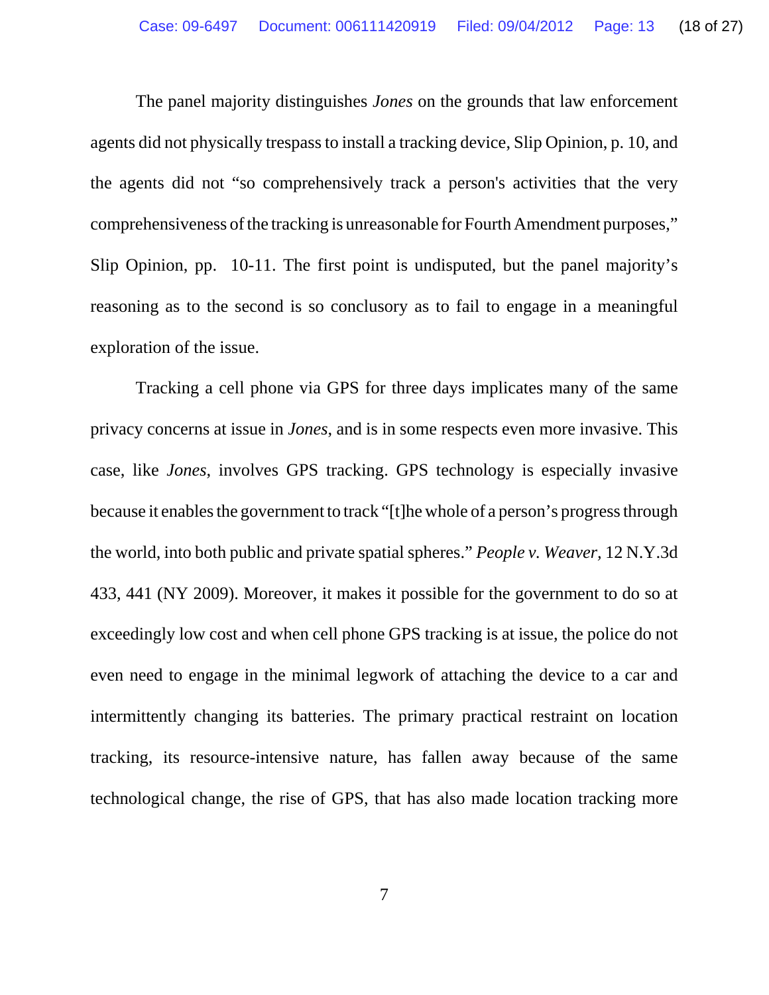The panel majority distinguishes *Jones* on the grounds that law enforcement agents did not physically trespass to install a tracking device, Slip Opinion, p. 10, and the agents did not "so comprehensively track a person's activities that the very comprehensiveness of the tracking is unreasonable for Fourth Amendment purposes," Slip Opinion, pp. 10-11. The first point is undisputed, but the panel majority's reasoning as to the second is so conclusory as to fail to engage in a meaningful exploration of the issue.

Tracking a cell phone via GPS for three days implicates many of the same privacy concerns at issue in *Jones*, and is in some respects even more invasive. This case, like *Jones*, involves GPS tracking. GPS technology is especially invasive because it enables the government to track "[t]he whole of a person's progress through the world, into both public and private spatial spheres." *People v. Weaver,* 12 N.Y.3d 433, 441 (NY 2009). Moreover, it makes it possible for the government to do so at exceedingly low cost and when cell phone GPS tracking is at issue, the police do not even need to engage in the minimal legwork of attaching the device to a car and intermittently changing its batteries. The primary practical restraint on location tracking, its resource-intensive nature, has fallen away because of the same technological change, the rise of GPS, that has also made location tracking more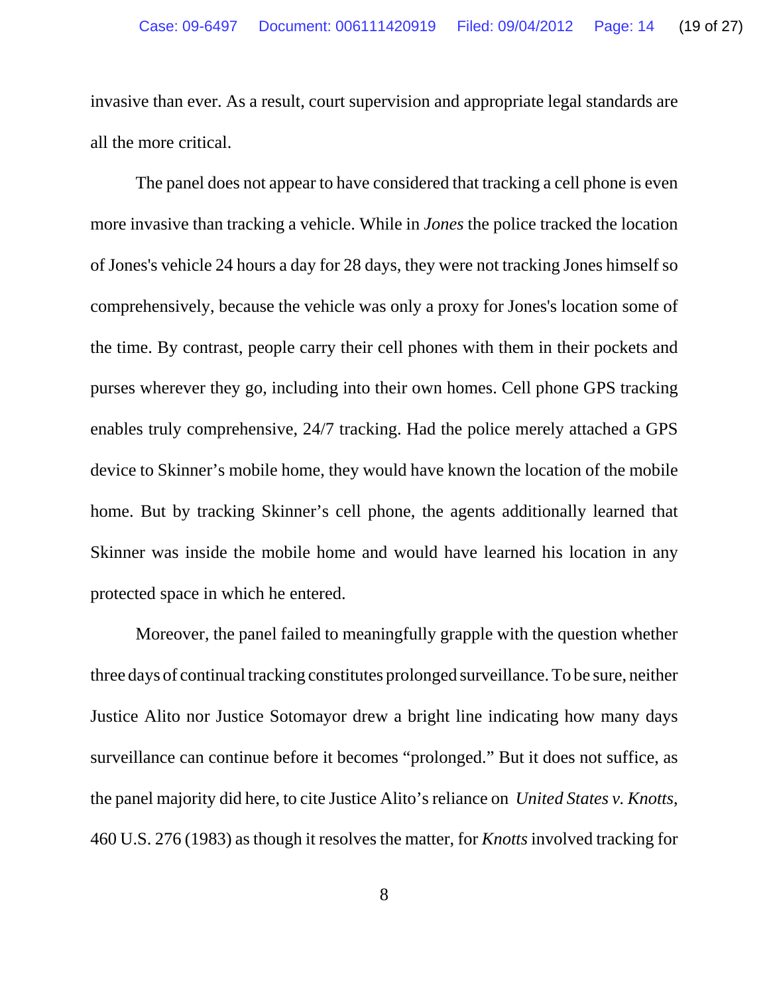invasive than ever. As a result, court supervision and appropriate legal standards are all the more critical.

The panel does not appear to have considered that tracking a cell phone is even more invasive than tracking a vehicle. While in *Jones* the police tracked the location of Jones's vehicle 24 hours a day for 28 days, they were not tracking Jones himself so comprehensively, because the vehicle was only a proxy for Jones's location some of the time. By contrast, people carry their cell phones with them in their pockets and purses wherever they go, including into their own homes. Cell phone GPS tracking enables truly comprehensive, 24/7 tracking. Had the police merely attached a GPS device to Skinner's mobile home, they would have known the location of the mobile home. But by tracking Skinner's cell phone, the agents additionally learned that Skinner was inside the mobile home and would have learned his location in any protected space in which he entered.

Moreover, the panel failed to meaningfully grapple with the question whether three days of continual tracking constitutes prolonged surveillance. To be sure, neither Justice Alito nor Justice Sotomayor drew a bright line indicating how many days surveillance can continue before it becomes "prolonged." But it does not suffice, as the panel majority did here, to cite Justice Alito's reliance on *United States v. Knotts*, 460 U.S. 276 (1983) as though it resolves the matter, for *Knotts* involved tracking for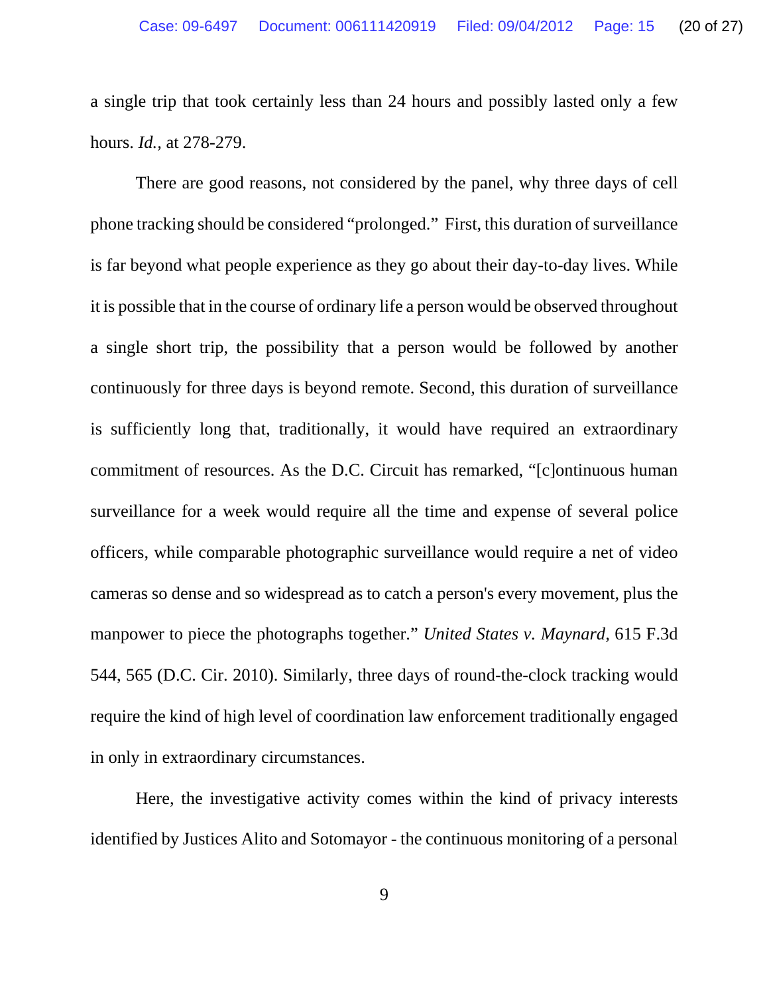a single trip that took certainly less than 24 hours and possibly lasted only a few hours. *Id.,* at 278-279.

There are good reasons, not considered by the panel, why three days of cell phone tracking should be considered "prolonged." First, this duration of surveillance is far beyond what people experience as they go about their day-to-day lives. While it is possible that in the course of ordinary life a person would be observed throughout a single short trip, the possibility that a person would be followed by another continuously for three days is beyond remote. Second, this duration of surveillance is sufficiently long that, traditionally, it would have required an extraordinary commitment of resources. As the D.C. Circuit has remarked, "[c]ontinuous human surveillance for a week would require all the time and expense of several police officers, while comparable photographic surveillance would require a net of video cameras so dense and so widespread as to catch a person's every movement, plus the manpower to piece the photographs together." *United States v. Maynard,* 615 F.3d 544, 565 (D.C. Cir. 2010). Similarly, three days of round-the-clock tracking would require the kind of high level of coordination law enforcement traditionally engaged in only in extraordinary circumstances.

Here, the investigative activity comes within the kind of privacy interests identified by Justices Alito and Sotomayor - the continuous monitoring of a personal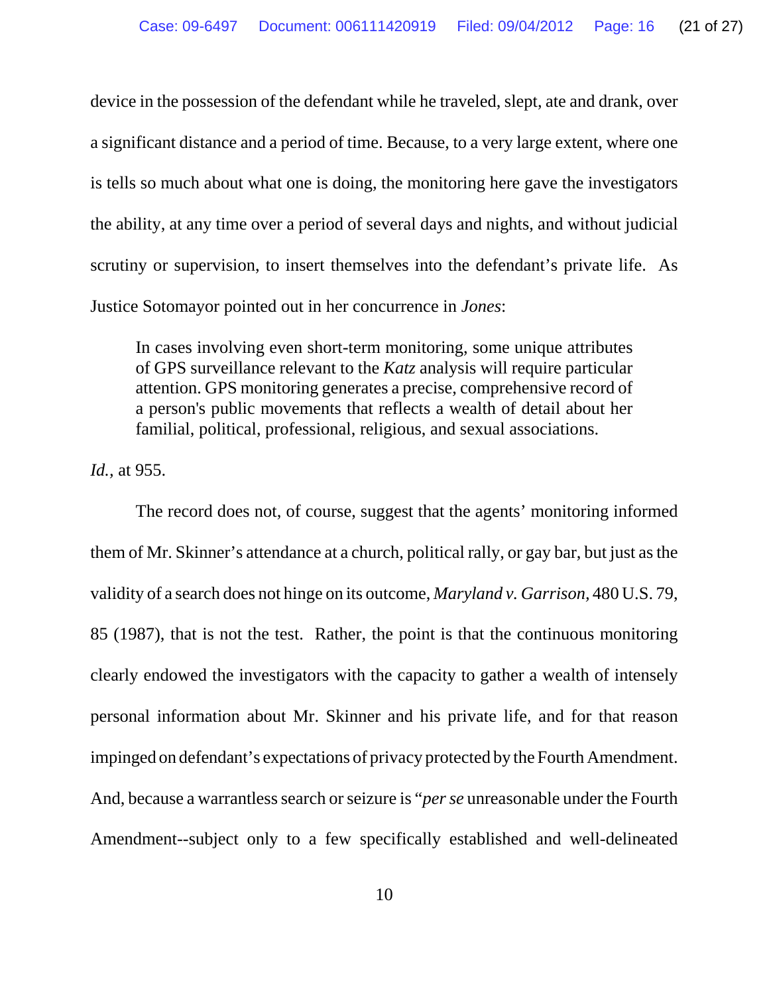device in the possession of the defendant while he traveled, slept, ate and drank, over a significant distance and a period of time. Because, to a very large extent, where one is tells so much about what one is doing, the monitoring here gave the investigators the ability, at any time over a period of several days and nights, and without judicial scrutiny or supervision, to insert themselves into the defendant's private life. As Justice Sotomayor pointed out in her concurrence in *Jones*:

In cases involving even short-term monitoring, some unique attributes of GPS surveillance relevant to the *Katz* analysis will require particular attention. GPS monitoring generates a precise, comprehensive record of a person's public movements that reflects a wealth of detail about her familial, political, professional, religious, and sexual associations.

*Id.,* at 955.

The record does not, of course, suggest that the agents' monitoring informed them of Mr. Skinner's attendance at a church, political rally, or gay bar, but just as the validity of a search does not hinge on its outcome, *Maryland v. Garrison,* 480 U.S. 79, 85 (1987), that is not the test. Rather, the point is that the continuous monitoring clearly endowed the investigators with the capacity to gather a wealth of intensely personal information about Mr. Skinner and his private life, and for that reason impinged on defendant's expectations of privacy protected by the Fourth Amendment. And, because a warrantless search or seizure is "*per se* unreasonable under the Fourth Amendment--subject only to a few specifically established and well-delineated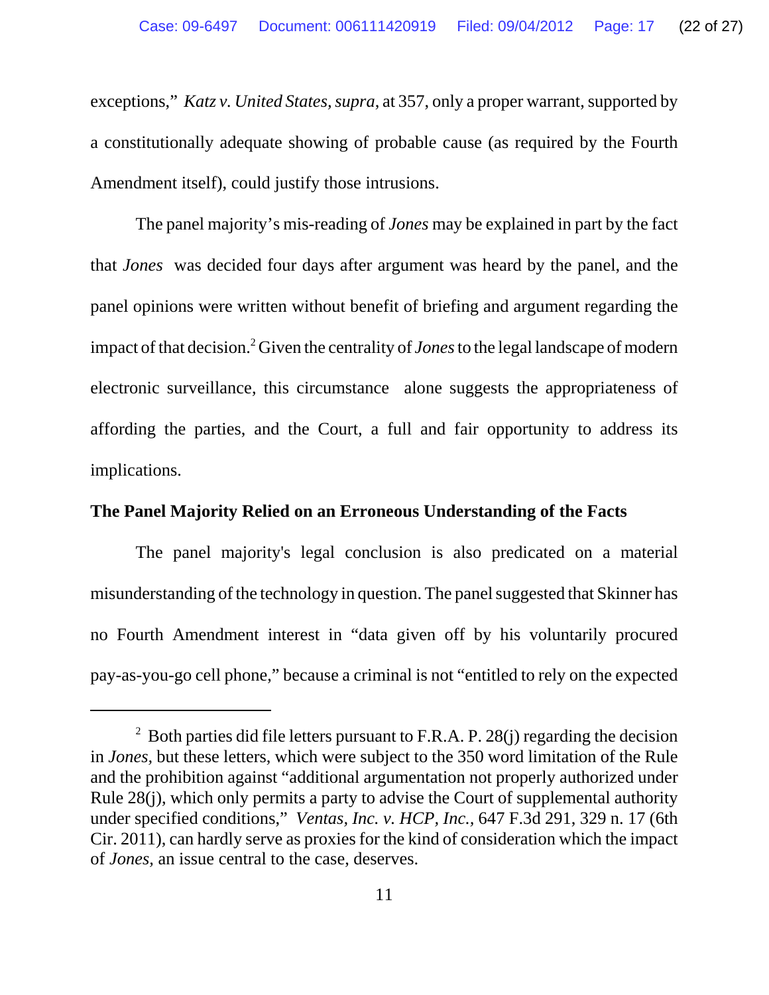exceptions," *Katz v. United States, supra*, at 357, only a proper warrant, supported by a constitutionally adequate showing of probable cause (as required by the Fourth Amendment itself), could justify those intrusions.

The panel majority's mis-reading of *Jones* may be explained in part by the fact that *Jones* was decided four days after argument was heard by the panel, and the panel opinions were written without benefit of briefing and argument regarding the impact of that decision.<sup>2</sup> Given the centrality of *Jones* to the legal landscape of modern electronic surveillance, this circumstance alone suggests the appropriateness of affording the parties, and the Court, a full and fair opportunity to address its implications.

### **The Panel Majority Relied on an Erroneous Understanding of the Facts**

The panel majority's legal conclusion is also predicated on a material misunderstanding of the technology in question. The panel suggested that Skinner has no Fourth Amendment interest in "data given off by his voluntarily procured pay-as-you-go cell phone," because a criminal is not "entitled to rely on the expected

<sup>&</sup>lt;sup>2</sup> Both parties did file letters pursuant to F.R.A. P. 28(j) regarding the decision in *Jones,* but these letters, which were subject to the 350 word limitation of the Rule and the prohibition against "additional argumentation not properly authorized under Rule 28(j), which only permits a party to advise the Court of supplemental authority under specified conditions," *Ventas, Inc. v. HCP, Inc.,* 647 F.3d 291, 329 n. 17 (6th Cir. 2011), can hardly serve as proxies for the kind of consideration which the impact of *Jones,* an issue central to the case, deserves.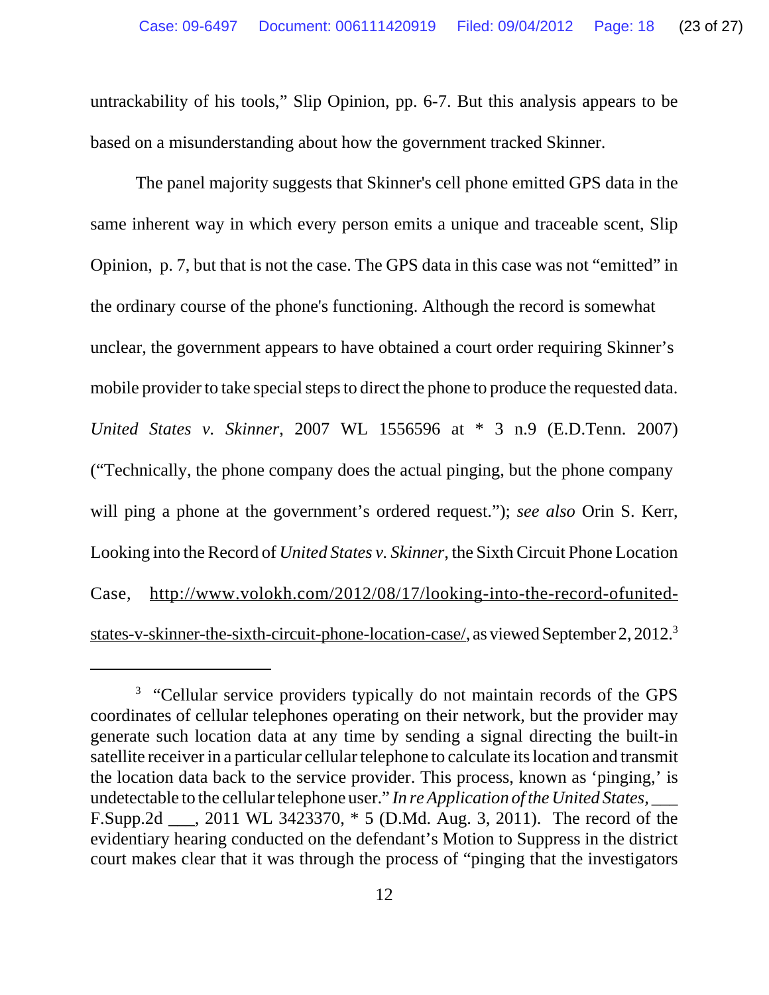untrackability of his tools," Slip Opinion, pp. 6-7. But this analysis appears to be based on a misunderstanding about how the government tracked Skinner.

The panel majority suggests that Skinner's cell phone emitted GPS data in the same inherent way in which every person emits a unique and traceable scent, Slip Opinion, p. 7, but that is not the case. The GPS data in this case was not "emitted" in the ordinary course of the phone's functioning. Although the record is somewhat unclear, the government appears to have obtained a court order requiring Skinner's mobile provider to take special steps to direct the phone to produce the requested data. *United States v. Skinner*, 2007 WL 1556596 at \* 3 n.9 (E.D.Tenn. 2007) ("Technically, the phone company does the actual pinging, but the phone company will ping a phone at the government's ordered request."); *see also* Orin S. Kerr, Looking into the Record of *United States v. Skinner*, the Sixth Circuit Phone Location Case, http://www.volokh.com/2012/08/17/looking-into-the-record-ofunitedstates-v-skinner-the-sixth-circuit-phone-location-case/, as viewed September 2, 2012.3

<sup>&</sup>lt;sup>3</sup> "Cellular service providers typically do not maintain records of the GPS coordinates of cellular telephones operating on their network, but the provider may generate such location data at any time by sending a signal directing the built-in satellite receiver in a particular cellular telephone to calculate its location and transmit the location data back to the service provider. This process, known as 'pinging,' is undetectable to the cellular telephone user." *In re Application of the United States,* \_\_\_ F.Supp.2d \_\_\_, 2011 WL 3423370, \* 5 (D.Md. Aug. 3, 2011). The record of the evidentiary hearing conducted on the defendant's Motion to Suppress in the district court makes clear that it was through the process of "pinging that the investigators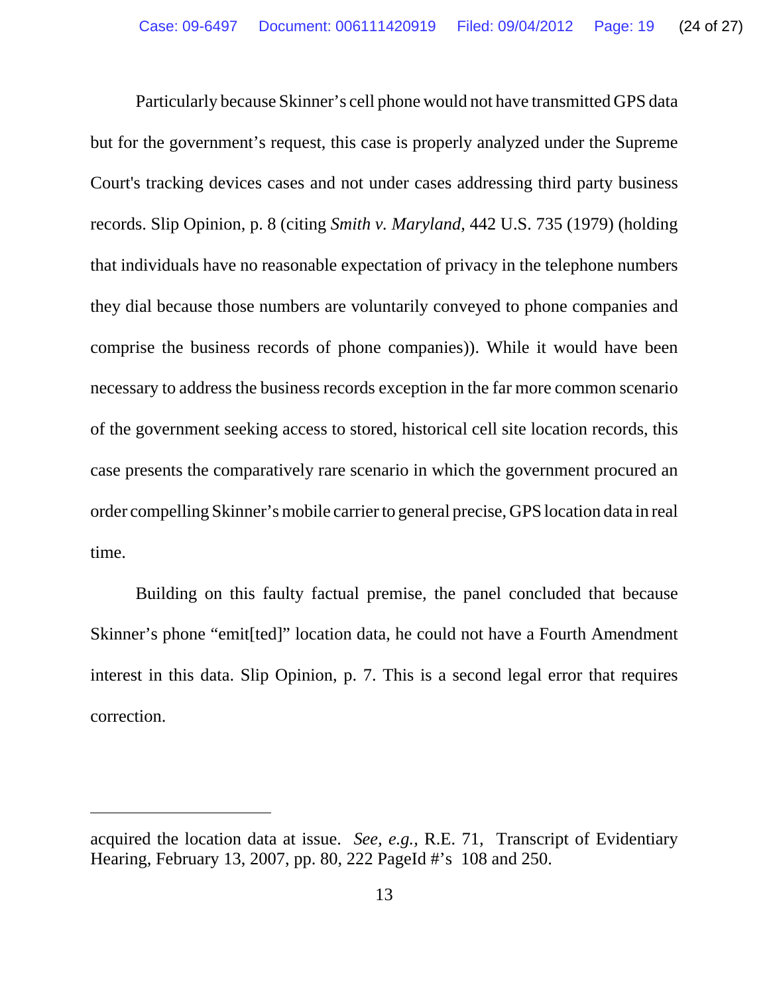Particularly because Skinner's cell phone would not have transmitted GPS data but for the government's request, this case is properly analyzed under the Supreme Court's tracking devices cases and not under cases addressing third party business records. Slip Opinion, p. 8 (citing *Smith v. Maryland,* 442 U.S. 735 (1979) (holding that individuals have no reasonable expectation of privacy in the telephone numbers they dial because those numbers are voluntarily conveyed to phone companies and comprise the business records of phone companies)). While it would have been necessary to address the business records exception in the far more common scenario of the government seeking access to stored, historical cell site location records, this case presents the comparatively rare scenario in which the government procured an order compelling Skinner's mobile carrier to general precise, GPS location data in real time.

Building on this faulty factual premise, the panel concluded that because Skinner's phone "emit[ted]" location data, he could not have a Fourth Amendment interest in this data. Slip Opinion, p. 7. This is a second legal error that requires correction.

acquired the location data at issue. *See, e.g.,* R.E. 71*,* Transcript of Evidentiary Hearing, February 13, 2007, pp. 80, 222 PageId #'s 108 and 250.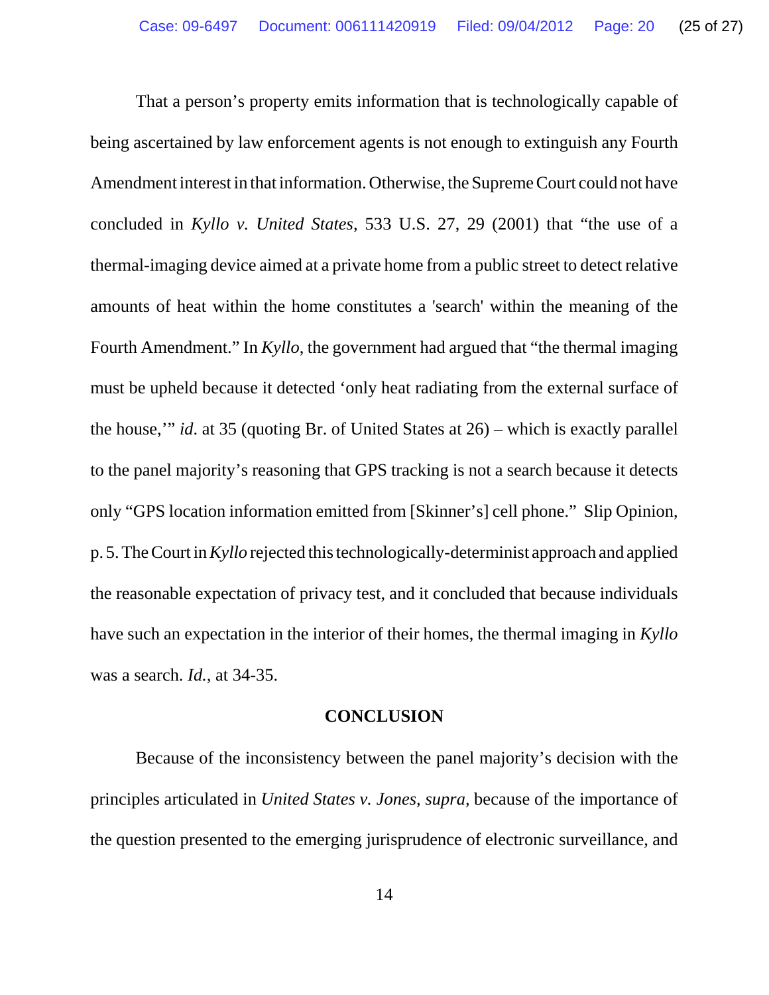That a person's property emits information that is technologically capable of being ascertained by law enforcement agents is not enough to extinguish any Fourth Amendment interest in that information. Otherwise, the Supreme Court could not have concluded in *Kyllo v. United States,* 533 U.S. 27, 29 (2001) that "the use of a thermal-imaging device aimed at a private home from a public street to detect relative amounts of heat within the home constitutes a 'search' within the meaning of the Fourth Amendment." In *Kyllo*, the government had argued that "the thermal imaging must be upheld because it detected 'only heat radiating from the external surface of the house,'" *id*. at 35 (quoting Br. of United States at 26) – which is exactly parallel to the panel majority's reasoning that GPS tracking is not a search because it detects only "GPS location information emitted from [Skinner's] cell phone." Slip Opinion, p. 5. The Court in *Kyllo* rejected this technologically-determinist approach and applied the reasonable expectation of privacy test, and it concluded that because individuals have such an expectation in the interior of their homes, the thermal imaging in *Kyllo* was a search. *Id.,* at 34-35.

### **CONCLUSION**

Because of the inconsistency between the panel majority's decision with the principles articulated in *United States v. Jones, supra,* because of the importance of the question presented to the emerging jurisprudence of electronic surveillance, and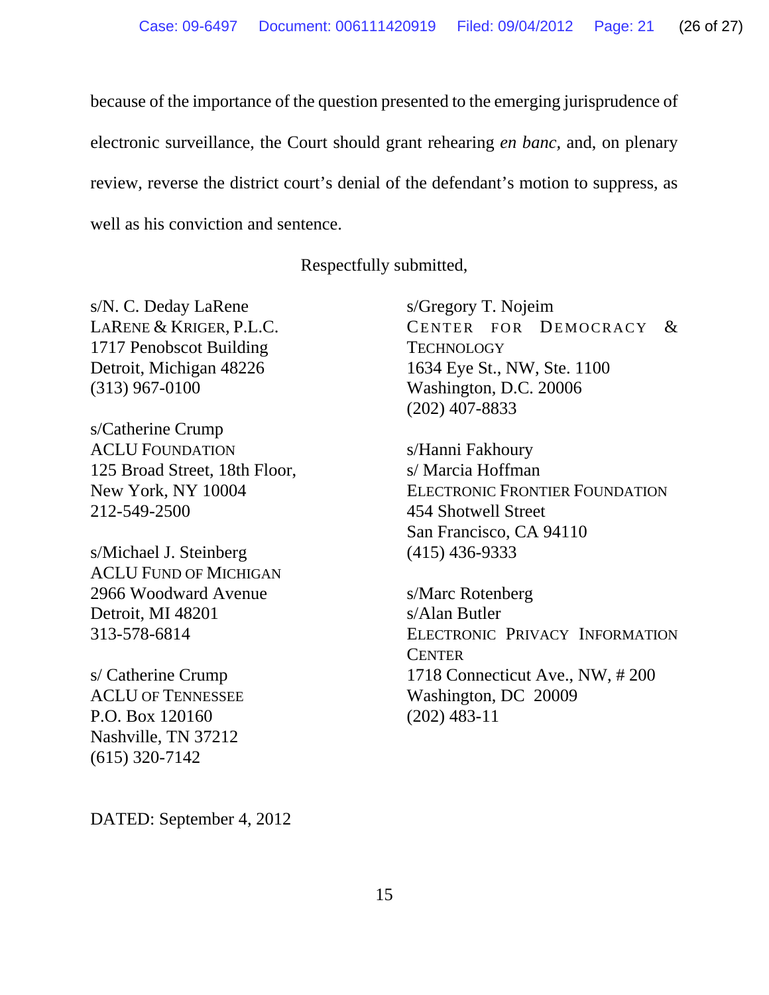because of the importance of the question presented to the emerging jurisprudence of electronic surveillance, the Court should grant rehearing *en banc,* and, on plenary review, reverse the district court's denial of the defendant's motion to suppress, as well as his conviction and sentence.

Respectfully submitted,

s/N. C. Deday LaRene LARENE & KRIGER, P.L.C. 1717 Penobscot Building Detroit, Michigan 48226 (313) 967-0100

s/Catherine Crump ACLU FOUNDATION 125 Broad Street, 18th Floor, New York, NY 10004 212-549-2500

s/Michael J. Steinberg ACLU FUND OF MICHIGAN 2966 Woodward Avenue Detroit, MI 48201 313-578-6814

s/ Catherine Crump ACLU OF TENNESSEE P.O. Box 120160 Nashville, TN 37212 (615) 320-7142

DATED: September 4, 2012

s/Gregory T. Nojeim CENTER FOR DEMOCRACY & **TECHNOLOGY** 1634 Eye St., NW, Ste. 1100 Washington, D.C. 20006 (202) 407-8833

s/Hanni Fakhoury s/ Marcia Hoffman ELECTRONIC FRONTIER FOUNDATION 454 Shotwell Street San Francisco, CA 94110 (415) 436-9333

s/Marc Rotenberg s/Alan Butler ELECTRONIC PRIVACY INFORMATION **CENTER** 1718 Connecticut Ave., NW, # 200 Washington, DC 20009 (202) 483-11